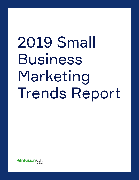# 2019 Small Business Marketing Trends Report

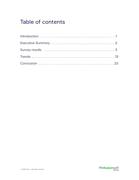# Table of contents

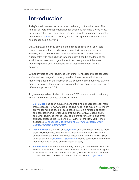# <span id="page-2-0"></span>**Introduction**

Today's small businesses have more marketing options than ever. The number of tools and apps designed for small business has skyrocketed. From automation and social media management to customer relationship management ([CRM\)](https://keap.com/infusionsoft/product/what-is-crm) and analytics, the increasing amount of information and capabilities is powerful.

But with power, an array of tools and apps to choose from, and rapid changes in marketing trends, comes complexity and uncertainty in knowing which methods and tools are effective and deliver results. Additionally, with rapid change in technology, it can be challenging for small business owners to gain in-depth knowledge about the latest marketing trends and understand which tactics work best for their business.

With four years of Small Business Marketing Trends Report data collected, we're seeing changes in the way small business owners think about marketing. Based on the information we collected, small business owners may be rethinking their approach to marketing and possibly considering a different approach in 2019.

To give us a preview of what's to come in 2019, we spoke with marketing leaders and small business experts including:

- **[Clate Mask](https://twitter.com/clatemask?lang=en)** has been educating and inspiring entrepreneurs for more than a decade. As CEO, Clate is leading Keap in its mission to simplify growth for millions of small businesses. Clate is a national speaker and contributing writer for Entrepreneur, Inc., AMEX Open Forum, and Small Business Trends focused on entrepreneurship and small business success. He is also the Co-author of the New York Times bestseller, [Conquer the Chaos: How to Grow a Successful Small](https://www.amazon.com/Conquer-Chaos-Successful-Business-Without/dp/0470599324)  [Business without Going Crazy](https://www.amazon.com/Conquer-Chaos-Successful-Business-Without/dp/0470599324).
- **[Donald Miller](http://www.storybrand.com/)** is the CEO of [StoryBrand,](http://www.storybrand.com/) and every year he helps more than 3,000 business leaders clarify their brand message. He is the author of multiple New York Times best-sellers, and the #1 Wall Street Journal bestseller, [Building a StoryBrand.](https://buildingastorybrand.com/) Don is considered one of the world's leading experts on the subject of story.
- **[Pamela Slim](http://pamelaslim.com/)** is an author, community builder, and consultant. Pam has advised thousands of entrepreneurs as well as companies serving the small business market such as Keap, Progressive Insurance, Constant Contact and Prezi. She is best known for her book **Escape from**

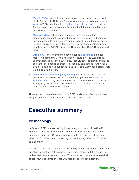<span id="page-3-0"></span>[Cubicle Nation](https://www.amazon.com/Escape-Cubicle-Nation-Corporate-Entrepreneur/dp/B0028BHZBG/ref=as_li_ss_tl?ie=UTF8&qid=1535569163&sr=8-1&keywords=escape+from+cubicle+nation&linkCode=sl1&tag=ganasconsulti-20&linkId=5761378b62793be2517c6bd57d6230bb&language=en_US) (named Best Small Business and Entrepreneur book of 2009 from 800 CEO Read) along with her follow up book Body of [Work](https://www.amazon.com/Body-Work-Finding-Thread-Together/dp/B00P6NZNA8/ref=as_li_ss_tl?ie=UTF8&qid=1535569199&sr=1-1&keywords=body+of+work&linkCode=sl1&tag=ganasconsulti-20&linkId=36dea4b70e0706c432e448b9dc6f62bb&language=en_US). In 2016, Pam launched the [Main Street Learning Lab](https://pamelaslim.com/ke/) in Mesa, Arizona, a grassroots, community-based think tank for small business economic acceleration.

- [Meredith Wood](https://www.fundera.com/blog/author/meredith) is the editor-in-chief at **Fundera**, an online marketplace for small business financial solutions such as business banking accounts and business loans. Specializing in financial advice for small business owners, Meredith is a current and past contributor to Yahoo!, Amex OPEN Forum, Fox Business, SCORE, AllBusiness and more.
- **[Dennis Yu](https://blitzmetrics.com/about-us/dennis-yu/)** is the chief technology officer at **BlitzMetrics**, a digital marketing company. Dennis has been featured in The Wall Street Journal, New York Times, LA Times, TechCrunch, Fox News, and is the co-author of Facebook Nation. He regularly contributes to Adweek's SocialTimes, and has published in Social Media Examiner, Social Media Club, and Social Fresh.
- **[Ultimate Sales Machine \(Joey Karam\)](https://www.ultimatesalesmachine.com/optin)** has assisted over 200,000 businesses worldwide, based on the strategies in their New York [Times Best Seller](https://www.amazon.com/Ultimate-Sales-Machine-Turbocharge-Relentless/dp/1591842158) by original author and founder the late Chet Holmes. Today, they assist businesses to double sales through their 12 core competencies on business growth.

These experts helped us forecast the 2019 landscape, offering valuable insights on where small businesses need to focus in 2019.

# **Executive summary**

# **Methodology**

In October 2018, Infusionsoft by Keap surveyed a panel of 1,467 selfidentified small business owners from across the United States via an online questionnaire. Respondents were not necessarily customers of Infusionsoft by Keap, and the survey did not identify Infusionsoft by Keap as a sponsor.

We asked these small business owners ten questions, including a screening question to identify small business ownership. Throughout this report, we outline their responses with charts. While not all respondents answered all questions, we received at least 1,190 responses for each question.

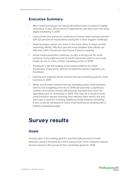## <span id="page-4-0"></span>**Executive Summary**

- More small businesses are being left behind when it comes to digital marketing. In fact, 29 percent of respondents said they won't be using digital marketing in 2019.
- Lack of time and resources continues to hinder small business owners with 22 percent of respondents saying this is their biggest challenge.
- Small business owners are more in the know when it comes to their marketing efforts. Fifty-five percent know whether their efforts are effective, while 33 percent don't know if they're working.
- Social media promotion continues to play a strong role for small business. Forty-eight percent of small businesses plan to use social media as one or more of their marketing tactics in 2019.
- Facebook is still the leading social media platform for small businesses. Forty-seven percent of business owners regularly use Facebook.
- Gaining and keeping clients remains the top marketing goal for small business in 2019.
- While social media remains the top marketing tactic small business owners are budgeting more for in 2019 (30 percent), a significant number of business owners (46 percent) reported they won't be spending more on marketing in 2019. This may be a result of more small business owners knowing how effective their tactics are and don't see a need for investing additional funds towards marketing. It also could be attributed to many small businesses working with a limited marketing budget.

# **Survey results**

## **Goals**

Driving sales is the leading goal for one-third (28 percent) of small business owners followed by a third saying none of the response options (shown below) in the survey fit their marketing goals for 2019.

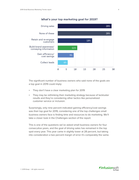

#### **What's your top marketing goal for 2019?**

The significant number of business owners who said none of the goals are a top goal in 2019 could imply:

- They don't have a clear marketing plan for 2019
- They may be rethinking their marketing strategy because of lackluster results and they're considering other tactics like personalized customer service or inclusion.

Surprisingly, only nine percent indicated gaining efficiency/cost savings was their top goal for 2019, considering one of the top challenges small business owners face is finding time and resources to do marketing. We'll take a closer look in the Challenges section of the report.

This is one of the questions we've asked small business owners for four consecutive years, and the goal of driving sales has remained in the top spot every year. This year came in slightly lower at 28 percent, but taking into consideration a two percent margin of error it's comparably the same.

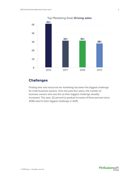

# **Challenges**

Finding time and resources for marketing has been the biggest challenge for small business owners. Over the past four years, the number of business owners who see this as their biggest challenge steadily increased. This year, 22 percent (a gradual increase of three percent since 2016) said it's their biggest challenge in 2019.

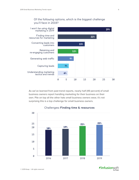#### Of the following options, which is the biggest challenge you'll face in 2019?



As we've learned from past trend reports, nearly half (49 percent) of small business owners report handling marketing for their business on their own. Pile on top all the other hats small business owners wear, it's not surprising this is a top challenge for small business owners.



#### Challenges**: Finding time & resources**

AInfusionsoft

by Keap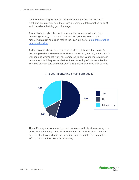Another interesting result from this year's survey is that 29 percent of small business owners said they won't be using digital marketing in 2019 and consider it their biggest challenge.

As mentioned earlier, this could suggest they're reconsidering their marketing strategy to boost its effectiveness, or they're on a tight marketing budget and don't realize they can still perform digital marketing [on a small budget.](https://keap.com/business-success-blog/marketing/digital-marketing/marketing-tips-for-shoestring-budget)

As technology advances, so does access to digital marketing data. It's becoming easier and easier for business owners to gain insight into what's working and what's not working. Compared to past years, more business owners reported they know whether their marketing efforts are effective. Fifty-five percent said they know, while 33 percent said they didn't know.



Are your marketing efforts effective?

The shift this year, compared to previous years, indicates the growing use of technology among small business owners. As more business owners adopt technology and gain the benefits, like insight into their marketing efforts, their confidence starts increasing.

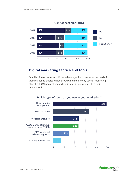

#### Confidence: **Marketing**

# **Digital marketing tactics and tools**

Small business owners continue to leverage the power of social media in their marketing efforts. When asked which tools they use for marketing, almost half (49 percent) ranked social media management as their primary tool.



#### Which type of tools do you use in your marketing?

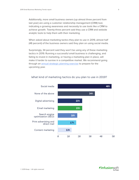Additionally, more small business owners (up almost three percent from last year) are using a customer relationship management (CRM) tool, indicating a growing awareness and necessity to use tools like a CRM to achieve growth. Twenty-three percent said they use a CRM and website analytic tools to help them with their marketing.

When asked about marketing tactics they plan to use in 2019, almost half (48 percent) of the business owners said they plan on using social media.

Surprisingly, 34 percent said they won't be using any of these marketing tactics in 2019. Running a successful small business is challenging, and failing to invest in marketing, or having a marketing plan in place, will make it harder to survive in a competitive market. We recommend going through an [annual strategic planning exercise](https://keap.com/infusionsoft/resources/strategic-planning-kit) to prepare for the upcoming year.



#### What kind of marketing tactics do you plan to use in 2019?

AInfusionsoft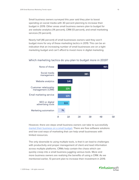Small business owners surveyed this year said they plan to boost spending on social media with 30 percent planning to increase their budget in 2019. Other areas small business owners plan to budget for are website analytics (14 percent), CRM (13 percent), and email marketing services (13 percent).

Nearly half (46 percent) of small businesses owners said they won't budget more for any of these marketing tactics in 2019. This can be an indication that an increasing number of small businesses are on a tight marketing budget and can't afford to invest more in digital marketing.



#### Which marketing tactics do you plan to budget more in 2019?

However, there are steps small business owners can take to successfully [market their business on a small budget.](https://keap.com/business-success-blog/marketing/social-media/social-media-advertising) There are free software solutions and low-cost ways of marketing that can help small businesses with limited resources.

The only downside to using multiple tools, is that it can lead to challenges with productivity and proper management of client and lead information across multiple platforms. CRMs help contain the chaos which can quickly creep into a small business juggling various tools. More and more business owners are realizing the benefits of using a CRM. As we mentioned earlier, 13 percent plan to increase their investment in 2019.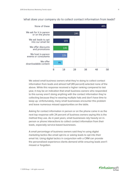

#### What does your company do to collect contact information from leads?

We asked small business owners what they're doing to collect contact information from leads and almost half (49 percent) selected none of the above. While this response received a higher ranking compared to last year, it may be an indication that small business owners who responded to this survey aren't doing anything with the contact information they're collecting because they're wearing multiple hats and don't have time to keep up. Unfortunately, many small businesses encounter this problem and leave numerous missed opportunities on the table.

Asking for contact information in person or on the phone came in as the next top response with 24 percent of business owners saying this is the method they use. As in past years, small businesses rely heavily on inperson or phone interactions to collect contact information from their leads, especially service-based businesses.

A small percentage of business owners said they're using digital marketing tactics like email opt-ins or asking leads to opt into their email list. Using digital tactics in conjunction with a CRM can provide the personalized experience clients demand while ensuring leads aren't missed or forgotten.

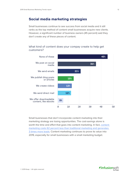# **Social media marketing strategies**

Small businesses continue to see success from social media and it still ranks as the top method of content small businesses acquire new clients. However, a significant number of business owners (45 percent) said they don't create any of these pieces of content.

#### What kind of content does your compay create to help get customers?



Small businesses that don't incorporate content marketing into their marketing strategy are losing opportunities. The cost-savings alone is worth the time and effort that goes into content marketing. In fact, [content](https://keap.com/infusionsoft/resources/turn-website-visitors-into-leads)  [marketing costs 62 percent less than traditional marketing and generates](https://keap.com/infusionsoft/resources/turn-website-visitors-into-leads)  [3 times more leads](https://keap.com/infusionsoft/resources/turn-website-visitors-into-leads). Content marketing continues to prove its value into 2019, especially for small businesses with a small marketing budget.

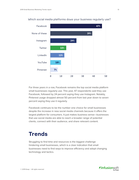

#### <span id="page-14-0"></span>Which social media platforms dows your business regularly use?

For three years in a row, Facebook remains the top social media platform small businesses regularly use. This year, 47 respondents said they use Facebook, followed by 24 percent saying they use Instagram. Notably, Pinterest usage dropped almost 50 percent from last year down to seven percent saying they use it regularly.

Facebook continues to be the number one choice for small businesses despite the increase in new social media channels because it offers the largest platform for consumers. It just makes business sense—businesses that use social media are able to reach a broader range of potential clients, connect with their audience, and share relevant content.

# **Trends**

Struggling to find time and resources is the biggest challenge hindering small businesses, which is a clear indication that small businesses need to find ways to improve efficiency and adopt changing technology and tactics.

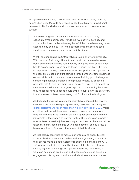We spoke with marketing leaders and small business experts, including Keap's CEO, Clate Mask, to see which trends they think will impact small business in 2019 and what small business owners can do to maximize success.

"It's an exciting time of innovation for businesses of all sizes, especially small businesses. Trends like AI, machine learning, and voice technology can be extremely beneficial and are becoming more accessible by being built-in to the backgrounds of apps and tools small businesses already use to run their business.

What I see happening in 2019 revolves around one word: simplicity. With the use of AI, things like automation will become easier to use because the technology is automatically doing the work people once had to do and spent hours on end trying to figure out. Now, the data is simply there driving smart automations that perform the right task at the right time. Based on our findings, a large number of small business owners state lack of time and resources as their biggest challenge something that hasn't changed from previous years. By choosing products with AI built into them, small business owners will be able to save time and take a more targeted approach to marketing because they no longer have to spend hours trying to hunt down the data or try to make sense of it—AI is managing it all for them in the background.

Additionally, things like voice technology have changed the way we search for just about everything. I recently read a report stating that [digital assistants will reach more than 7 billion devices by 2020](https://technology.ihs.com/592630/digital-assistants-to-reach-more-than-4-billion-devices-in-2017-as-google-set-to-take-a-lead-ihs-markit-says). Voice combined with AI will help small business owners become more efficient and organized while on the go. Capabilities that were once impossible without opening up your laptop, like logging an important note while on a service job or sending an invoice to a client, can all be taken care of by speaking into your mobile device—and as a result, have more time to focus on other areas of their business.

As technology continues to make smarter tools and apps, it's vital for small business owners to collect and manage the right data from their clients. Using a good customer relationship management (CRM) software product will help small businesses take the next step to leveraging new technology the right way. By using client data, a CRM can help make predictions and recommend actions based on engagement history with the client and a business' current process.

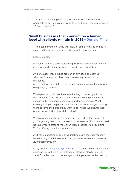This type of technology will help small businesses deliver more personalized service, create raving fans, and obtain more referrals in 2019 and beyond."

### **Small businesses that connect on a human level with clients will win in 2019[—Donald Miller](https://storybrand.com/)**

"The best marketers of 2019 will know all of the formulas and have mastered the basics, but they'll also be able to forget them.

Let me explain...

Marketing can be a technical job, right? Some days can feel like an endless parade of spreadsheets, analytics, and checklists.

And of course, those things are part of any good strategy. But when we focus too much on them, we over-systematize our marketing.

As a result, we lose sight of the deeply human reasons that motivate every buying decision.

When people buy things, they're not acting as perfectly rational human beings. The best marketing is overwhelmingly human and speaks to the emotional aspects of our decision making. What challenge do you help your clients overcome? How are you helping them become the person they want to be? When we answer those questions, we invite clients into a story!

When a person feels like they can trust you—when they truly feel you're guiding them to a successful outcome—they'll follow your lead. Because you're offering more than just a product or a price point. You're offering them transformation.

And if the marketing aspect of your job feels uninspiring, you may have lost sight of this key truth. And you'll see savvier marketers in 2019 passing you by.

In my book [Building a StoryBrand](https://buildingastorybrand.com/), I teach readers how to clarify their message using the proven methods of effective storytelling. The same formulas used to create major motion pictures can be used to

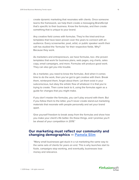create dynamic marketing that resonates with clients. Once someone learns the framework, we help them create a messaging BrandScript that's specific to their business. Know the formulas, and then create something that is unique to your brand.

Any creative field comes with formulas. They're the tried-and-true templates that have been proven over the years to connect with an audience. Every screenwriter, poet, artist, or public speaker worth their salt has studied the 'formulas' for their respective fields. Why? Because they work.

As marketers and entrepreneurs, we have formulas, too—the proven templates that work for business plans, web pages, org charts, sales copy, email campaigns, and more. Formulas will produce good work. They can also get you into trouble.

As a marketer, you need to know the formulas. And when it comes time to do the work, then you've got to get creative with them. Break them, reinterpret them, forget about them. Let them exist in your subconscious, but obey the artistic flow of whatever it is that you're trying to create. Then come back to it, using the formulas again as a guide for changes that you might make.

If you don't master the formulas, you can't play around with them. But if you follow them to the letter, you'll never create stand-out marketing materials that resonate with people personally and set your brand apart.

Give yourself freedom to break away from the formulas and show how you make your client's life better. Do these things, and I promise you'll be ahead of your competition in 2019."

## **Our marketing must reflect our community and changing demographics — [Pamela Slim](http://pamelaslim.com/)**

"Many small businesses get stuck in a rut marketing the same way to the same sets of clients for years on end. This is why launches start to fizzle, campaigns stop working, and eventually, businesses lose money and relevance.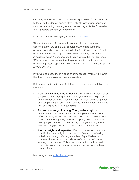One way to make sure that your marketing is poised for the future is to look into the demographics of your clients. Are your products or services, marketing campaigns, and networking activities focused on every possible client in your community?

Demographics are changing, according to [Nielsen:](https://www.nielsen.com/us/en/insights/news/2018/the-database-meeting-todays-multicultural-consumers.html)

'African Americans, Asian Americans, and Hispanics represent approximately 40% of the U.S. population. And that number is growing—quickly. In fact, according to the U.S. Census, the U.S. will be a multicultural majority nation by 2044, meaning that African Americans, Asian Americans, and Hispanics together will comprise 50% or more of the population. Together, multicultural consumers have an impressive spending power of \$3.2 trillion.' - The Database, A Nielsen Podcast

If you've been coasting in a zone of sameness for marketing, now is the time to begin to expand your ecosystem.

But before you jump in head-first, there are some important things to keep in mind:

- **Relationships take time to build**. Don't make the mistake of just slapping a new photograph on top of your old campaign. Spend time with people in new communities. Ask about the companies and campaigns that are well-respected, and why. Test new ideas with small groups before going big.
- Be prepared to get it wrong. Then, make it right. It's impossible to be perfect when connecting with people from different backgrounds. You will make mistakes. Learn how to take feedback without getting defensive. Apologize sincerely and quickly if you do mess up. In the long term, your willingness to learn and engage despite discomfort will earn you trust.
- Pay for insight and expertise. It's common to ask a peer from a particular community to do a bunch of free labor reviewing materials and copy, referring a number of qualified experts to speak at events, or to provide lots of examples of places where you can market. This is real work that should be paid to a professional who has expertise and connections in these communities.

Marketing expert [Nailah Blades](http://wylieandcompany.com/) says:

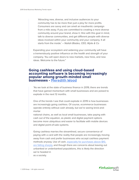'Attracting new, diverse, and inclusive audiences to your community has to be more than just a ploy for more profits. Consumers are savvy and can smell an inauthentic campaign from a mile away. If you are committed to creating a more diverse community around your brand, show it. Hire with this goal in mind, talk to diverse communities, and get different people with diverse ideas involved within your community and your company. It all starts from the inside.' – Nailah Blades, CEO, Wylie & Co

Expanding your ecosystem and widening your community will have a tremendously positive influence on the health and strength of your company. You will open doors to new markets, new hires, and new ideas. Welcome to the future."

## **Going cashless and using cloud-based accounting software is becoming increasingly popular among growth-minded small businesses - [Meredith Wood](https://www.fundera.com/blog/author/meredith)**

"As we look at the state of business finance in 2019, there are trends that have gained momentum with small businesses and are poised to explode in the next 12 months.

One of the trends I see that could explode in 2019 is how businesses are increasingly going cashless. Of course, ecommerce businesses operate entirely without cash already, but we're seeing brick-andmortar

national chains, as well as local small businesses, take paying with cash out of the equation, as plastic and digital payment options become more ubiquitous and easier to facilitate with mobile devices and digital point-of-sale systems.

Going cashless marries the streamlined, secure convenience of paying with a card with the reality that people are increasingly moving away from cash and prefer businesses who accept cashless payment methods anyway. Use of cash, [especially for purchases above \\$10,](https://slate.com/business/2018/07/cashless-stores-and-restaurants-are-on-the-rise-to-the-delight-of-credit-card-companies.html)  [are falling sharply](https://slate.com/business/2018/07/cashless-stores-and-restaurants-are-on-the-rise-to-the-delight-of-credit-card-companies.html), and though there are concerns about leaving out unbanked or underbanked populations, this is likely the direction we're headed in as a society.

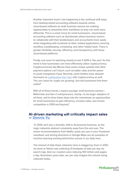Another important move I see happening is the continual shift away from desktop-based accounting software towards online, cloud-based software as small business owners are seeking opportunities to streamline their workflows so they can work more efficiently. This is a smart move for small businesses—cloud-based accounting software such as Quickbooks allows business owners to collaborate with their bookkeepers and accountants more easily while integrating with hundreds of other related applications covering workflow, bookkeeping, scheduling, and other helpful tools. There is greater flexibility, security, efficiency, and transparency with these cloud-based platforms.

Finally, one area I'm watching closely to see if 2019 is 'the year' for this trend is how businesses can more effectively utilize cryptocurrency. Cryptocurrencies like Bitcoin have some unique upsides that other payment options can't touch, such as better rates and the power to avoid chargeback fraud. Recently, some lenders have allowed borrowers to [collateralize their loan](https://www.investopedia.com/news/now-you-can-use-bitcoin-collateral-loans/) with cryptocurrency as well. The use cases for crypto are growing—but will businesses find them useful?

With all of these trends, I expect younger small business owners— Millennials and Gen Z entrepreneurs, mainly—to be larger adopters of all three, and to drive these ideas into the mainstream as opportunities for small businesses to gain efficiency, increase sales, and remain competitive in 2019 and beyond."

## **AI-driven marketing will critically impact sales — [Dennis Yu](https://blitzmetrics.com/about-us/dennis-yu/)**

"In 2019, we'll see a dramatic shift to AI-powered business, as the major networks abstract complexity away from the end user. The movie recommendations from Netflix, posts you see in your Facebook newsfeed, and driving directions in Google Maps are all examples of machine learning working behind the scenes in our daily lives.

The amount of data these networks have is staggering. Even in 2001, my team at Yahoo! was collecting 13 terabytes of data per day via search logs. And our crawlers were indexing 100 million web pages a day. Seventeen years later, we can only imagine the volume being collected today.

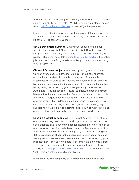AI-driven algorithms are not just powering your Uber ride, but critically impact your ability to drive sales. We'll discuss practical steps you can take to [win from the algo changes](https://www.socialmediaexaminer.com/facebook-algorithm-explained-for-marketers-dennis-yu/), instead of getting penalized.

For us as small business owners, this technology shift means we must 'feed' the algorithm with the right ingredients, so it can do the 'heavy lifting' for us. That means we must:

Set up our digital plumbing. Getting our various pixels on our website (Facebook pixel, Google analytics pixel, Google ads pixel) integrated for remarketing, and having solid conversion tracking in place. In short, the more data we can [feed into the machine,](https://www.marketingspeak.com/the-past-present-and-future-of-facebook-advertising-with-dennis-yu/) the better job it can do in identifying who is most likely to be a client, then bring these people to us.

Choose ROI-based objectives. Knowing exactly what a client is worth at every stage of our funnel is critical for our ads, analytics, and marketing systems to be able to detect and fix anomalies automatically. We used to play 'needle in a haystack' in our analytics by running various combinations of reports, hoping to spot something wrong. Now, we can set triggers in Google Analytics as well as Automated Rules in Facebook Ads, for example, to spot and correct issues without human intervention. For example, you could set a rule to increase budgets if you're getting more than a 500% return on advertising spending (ROAS) on a set of products in your shopping cart. All modern marketing automation systems and landing page builders now have built-in split testing (also known as A/B testing) and attribution tools, automatically re-allocating traffic to winners.

Load up product catalogs. While we're not Amazon, we must treat our content library like 'products' and organize our content into bitesized snippets, like 15 second videos for Instagram Stories and partial phrases for our website chatbots—allowing the feed-based algorithms from Twitter, LinkedIn, Facebook, Snapchat, YouTube, and Google to deliver a sequence of content, personalized to each user. The algos already know what each user likes and can predict who will buy your product when it comes from a particular combination of content from your library. But if you're not organizing your content into a Topic Wheel, [mimicking person-to-person sales flows](https://www.conquerlocal.com/podcast/114-dennis-yu-forget-facebooks-pr-problem-focus-personal-brand/), the algorithms cannot 'make chicken salad out of chicken shiitake'

In other words, the complexity of AI-driven marketing is such that

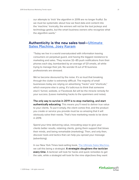our attempts to 'trick' the algorithm in 2019 are no longer fruitful. So we must be systematic about how we feed data and content into the 'machine.' Ironically, the winners will not be the tool jockeys and technology geeks, but the smart business owners who recognize what the algorithm wants."

## **Authenticity is the new sales tool[—Ultimate](https://www.ultimatesalesmachine.com/optin)  [Sales Machine, Joey Karam](https://www.ultimatesalesmachine.com/optin)**

"Today we live in a world oversaturated with information leaving consumers on perpetual guard, and having the biggest resistance to marketing and sales. They receive 32–85 push notifications from their phones each day, bombarded by an average of 121 emails, all while trying to manage their job. No wonder 8 out of 10 business professionals are stressed.

We've become devoured by the noise. It's so loud that breaking through the clutter is extremely difficult. The majority of small businesses today are relying on advertising "hacks" and "shortcuts," which everyone else is using. It's ludicrous to think that someone else's' funnel, website, or Facebook Ad will be the miracle remedy for your success. (Leave marketing hacks to the spammers and noise).

The only way to survive in 2019 is to stop marketing, and start **authentically educating**. This means you'll need to deliver true value to your clients. To put it simply, the client comes first, and the product you create or service you provide must be so amazing that it will obviously solve their needs. That's how marketing needs to be done in 2019.

Spend your time delivering value, innovating ways to give your clients better results, retaining clients, giving them support that blows their minds, and being remarkable (marketing). Then, and only then, discover tools and tactics that can help you spread your message (advertising).

In our New York Times best-selling book, [The Ultimate Sales Machine,](https://www.amazon.com/Ultimate-Sales-Machine-Turbocharge-Relentless/dp/1591842158) we call this being a strategist. A strategist slaughters the tactician every time. A tactician will look for hacks and quick remedies to get the sale, while a strategist will look for the nine objectives they want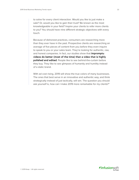to solve for every client interaction. Would you like to just make a sale? Or, would you like to gain their trust? Be known as the most knowledgeable in your field? Inspire your clients to refer more clients to you? You should have nine different strategic objectives with every touch.

Because of dishonest practices, consumers are researching more than they ever have in the past. Prospective clients are researching an average of five pieces of content from you before they even inquire to speak to you or your sales team. They're looking for authentic, raw, and honest companies. In fact, our studies show that *impromptu* videos do better (most of the time) than a video that is highly polished and edited. People like to see behind-the-curtain before they buy. They like to see glimpses of humanity and humility instead of a static brand.

With ad cost rising, 2019 will show the true colors of many businesses. The ones that best serve in an innovative and authentic way, and think strategically instead of just tactically, will win. The question you should ask yourself is, how can I make 2019 more remarkable for my clients?"